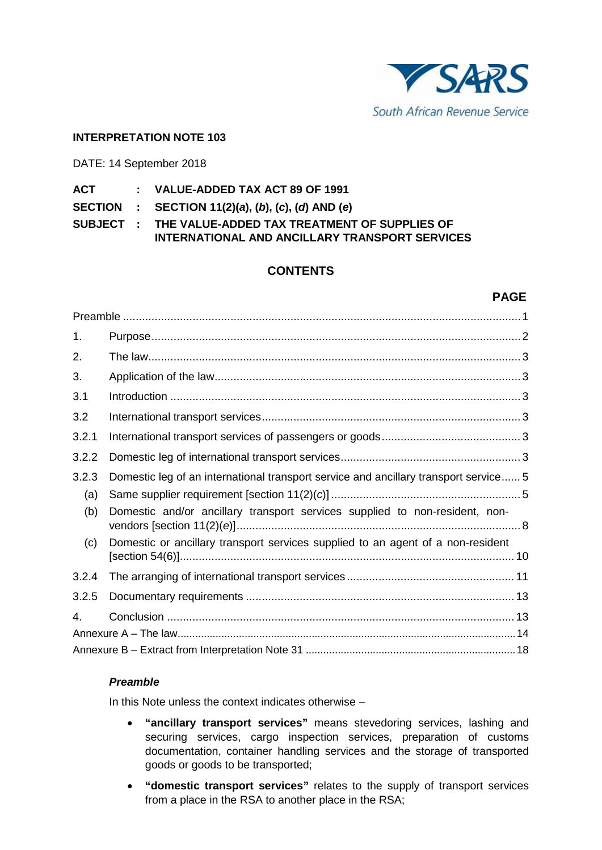

# **INTERPRETATION NOTE 103**

DATE: 14 September 2018

| ACT | VALUE-ADDED TAX ACT 89 OF 1991 |
|-----|--------------------------------|
|-----|--------------------------------|

**SECTION : SECTION 11(2)(***a***), (***b***), (***c***), (***d***) AND (***e***)**

**SUBJECT : THE VALUE-ADDED TAX TREATMENT OF SUPPLIES OF INTERNATIONAL AND ANCILLARY TRANSPORT SERVICES**

# **CONTENTS**

# **PAGE**

| 1.    |                                                                                      |  |
|-------|--------------------------------------------------------------------------------------|--|
| 2.    |                                                                                      |  |
| 3.    |                                                                                      |  |
| 3.1   |                                                                                      |  |
| 3.2   |                                                                                      |  |
| 3.2.1 |                                                                                      |  |
| 3.2.2 |                                                                                      |  |
| 3.2.3 | Domestic leg of an international transport service and ancillary transport service 5 |  |
| (a)   |                                                                                      |  |
| (b)   | Domestic and/or ancillary transport services supplied to non-resident, non-          |  |
| (c)   | Domestic or ancillary transport services supplied to an agent of a non-resident      |  |
| 3.2.4 |                                                                                      |  |
| 3.2.5 |                                                                                      |  |
| 4.    |                                                                                      |  |
|       |                                                                                      |  |
|       |                                                                                      |  |

# *Preamble*

In this Note unless the context indicates otherwise –

- **"ancillary transport services"** means stevedoring services, lashing and securing services, cargo inspection services, preparation of customs documentation, container handling services and the storage of transported goods or goods to be transported;
- **"domestic transport services"** relates to the supply of transport services from a place in the RSA to another place in the RSA;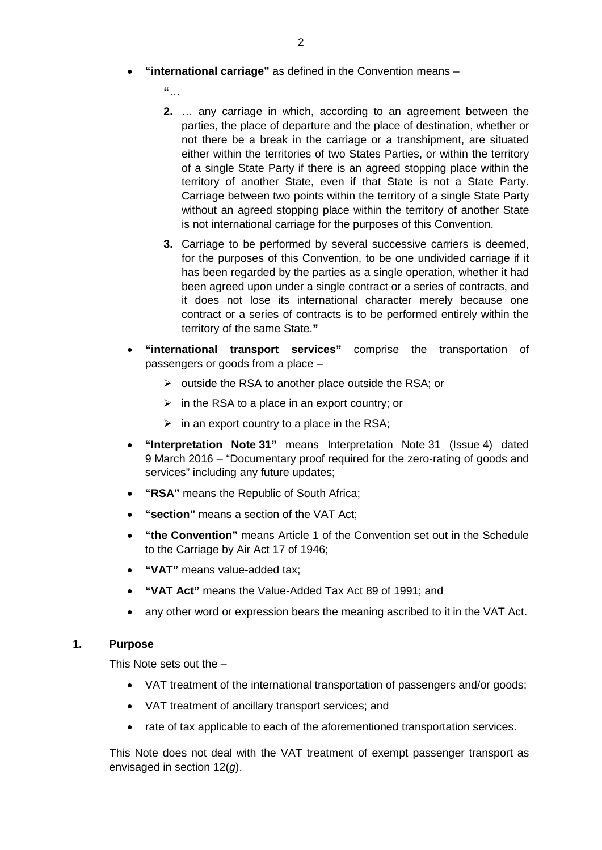- **"international carriage"** as defined in the Convention means
	- **"**…
	- **2.** … any carriage in which, according to an agreement between the parties, the place of departure and the place of destination, whether or not there be a break in the carriage or a transhipment, are situated either within the territories of two States Parties, or within the territory of a single State Party if there is an agreed stopping place within the territory of another State, even if that State is not a State Party. Carriage between two points within the territory of a single State Party without an agreed stopping place within the territory of another State is not international carriage for the purposes of this Convention.
	- **3.** Carriage to be performed by several successive carriers is deemed, for the purposes of this Convention, to be one undivided carriage if it has been regarded by the parties as a single operation, whether it had been agreed upon under a single contract or a series of contracts, and it does not lose its international character merely because one contract or a series of contracts is to be performed entirely within the territory of the same State.**"**
- **"international transport services"** comprise the transportation of passengers or goods from a place –
	- $\triangleright$  outside the RSA to another place outside the RSA; or
	- $\triangleright$  in the RSA to a place in an export country; or
	- $\triangleright$  in an export country to a place in the RSA;
- **"Interpretation Note 31"** means Interpretation Note 31 (Issue 4) dated 9 March 2016 – "Documentary proof required for the zero-rating of goods and services" including any future updates;
- **"RSA"** means the Republic of South Africa;
- **"section"** means a section of the VAT Act;
- **"the Convention"** means Article 1 of the Convention set out in the Schedule to the Carriage by Air Act 17 of 1946;
- **"VAT"** means value-added tax;
- **"VAT Act"** means the Value-Added Tax Act 89 of 1991; and
- any other word or expression bears the meaning ascribed to it in the VAT Act.

# **1. Purpose**

This Note sets out the –

- VAT treatment of the international transportation of passengers and/or goods;
- VAT treatment of ancillary transport services; and
- rate of tax applicable to each of the aforementioned transportation services.

This Note does not deal with the VAT treatment of exempt passenger transport as envisaged in section 12(*g*).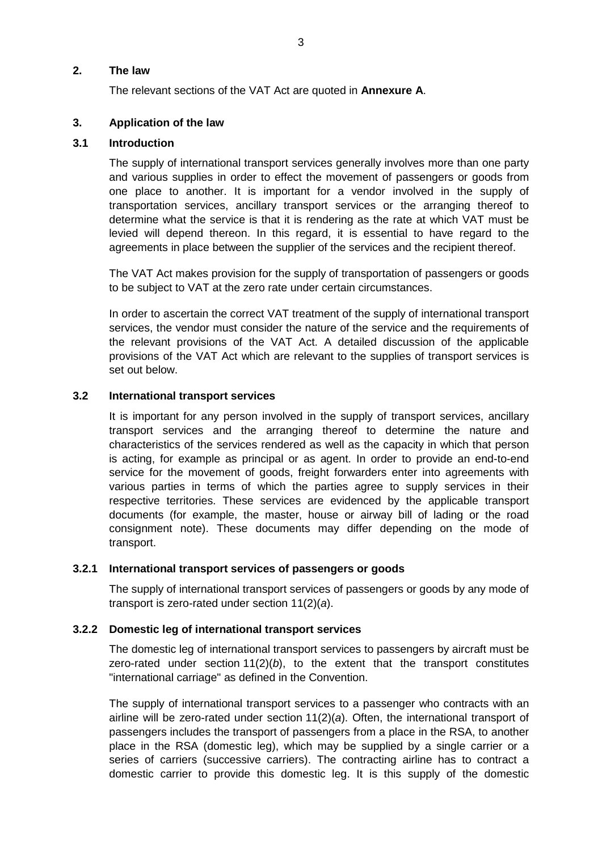### **2. The law**

The relevant sections of the VAT Act are quoted in **Annexure A**.

# **3. Application of the law**

### **3.1 Introduction**

The supply of international transport services generally involves more than one party and various supplies in order to effect the movement of passengers or goods from one place to another. It is important for a vendor involved in the supply of transportation services, ancillary transport services or the arranging thereof to determine what the service is that it is rendering as the rate at which VAT must be levied will depend thereon. In this regard, it is essential to have regard to the agreements in place between the supplier of the services and the recipient thereof.

The VAT Act makes provision for the supply of transportation of passengers or goods to be subject to VAT at the zero rate under certain circumstances.

In order to ascertain the correct VAT treatment of the supply of international transport services, the vendor must consider the nature of the service and the requirements of the relevant provisions of the VAT Act. A detailed discussion of the applicable provisions of the VAT Act which are relevant to the supplies of transport services is set out below.

### **3.2 International transport services**

It is important for any person involved in the supply of transport services, ancillary transport services and the arranging thereof to determine the nature and characteristics of the services rendered as well as the capacity in which that person is acting, for example as principal or as agent. In order to provide an end-to-end service for the movement of goods, freight forwarders enter into agreements with various parties in terms of which the parties agree to supply services in their respective territories. These services are evidenced by the applicable transport documents (for example, the master, house or airway bill of lading or the road consignment note). These documents may differ depending on the mode of transport.

#### <span id="page-2-0"></span>**3.2.1 International transport services of passengers or goods**

The supply of international transport services of passengers or goods by any mode of transport is zero-rated under section 11(2)(*a*).

# **3.2.2 Domestic leg of international transport services**

The domestic leg of international transport services to passengers by aircraft must be zero-rated under section  $11(2)(b)$ , to the extent that the transport constitutes "international carriage" as defined in the Convention.

The supply of international transport services to a passenger who contracts with an airline will be zero-rated under section 11(2)(*a*). Often, the international transport of passengers includes the transport of passengers from a place in the RSA, to another place in the RSA (domestic leg), which may be supplied by a single carrier or a series of carriers (successive carriers). The contracting airline has to contract a domestic carrier to provide this domestic leg. It is this supply of the domestic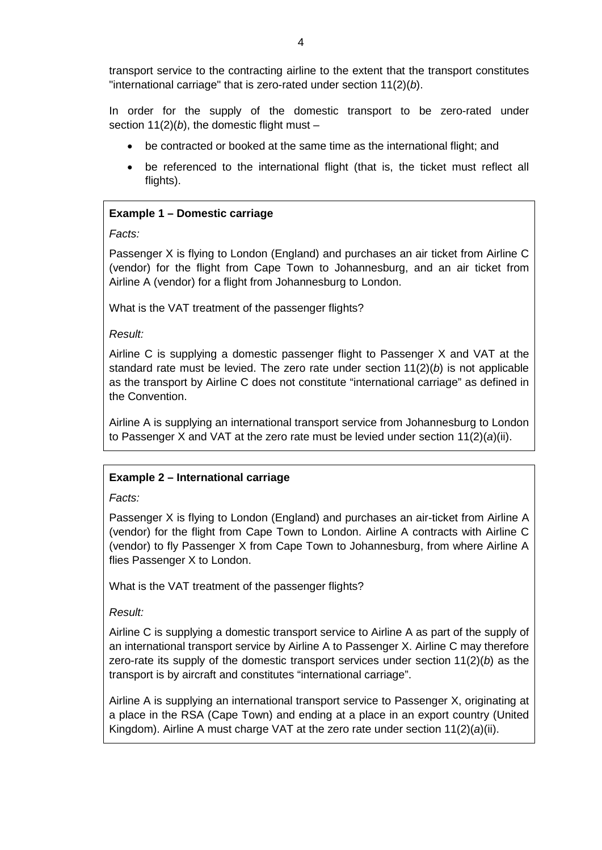transport service to the contracting airline to the extent that the transport constitutes "international carriage" that is zero-rated under section 11(2)(*b*).

In order for the supply of the domestic transport to be zero-rated under section  $11(2)(b)$ , the domestic flight must –

- be contracted or booked at the same time as the international flight; and
- be referenced to the international flight (that is, the ticket must reflect all flights).

# **Example 1 – Domestic carriage**

*Facts:*

Passenger X is flying to London (England) and purchases an air ticket from Airline C (vendor) for the flight from Cape Town to Johannesburg, and an air ticket from Airline A (vendor) for a flight from Johannesburg to London.

What is the VAT treatment of the passenger flights?

*Result:*

Airline C is supplying a domestic passenger flight to Passenger X and VAT at the standard rate must be levied. The zero rate under section 11(2)(*b*) is not applicable as the transport by Airline C does not constitute "international carriage" as defined in the Convention.

Airline A is supplying an international transport service from Johannesburg to London to Passenger X and VAT at the zero rate must be levied under section 11(2)(*a*)(ii).

# **Example 2 – International carriage**

*Facts:*

Passenger X is flying to London (England) and purchases an air-ticket from Airline A (vendor) for the flight from Cape Town to London. Airline A contracts with Airline C (vendor) to fly Passenger X from Cape Town to Johannesburg, from where Airline A flies Passenger X to London.

What is the VAT treatment of the passenger flights?

*Result:*

Airline C is supplying a domestic transport service to Airline A as part of the supply of an international transport service by Airline A to Passenger X. Airline C may therefore zero-rate its supply of the domestic transport services under section 11(2)(*b*) as the transport is by aircraft and constitutes "international carriage".

Airline A is supplying an international transport service to Passenger X, originating at a place in the RSA (Cape Town) and ending at a place in an export country (United Kingdom). Airline A must charge VAT at the zero rate under section 11(2)(*a*)(ii).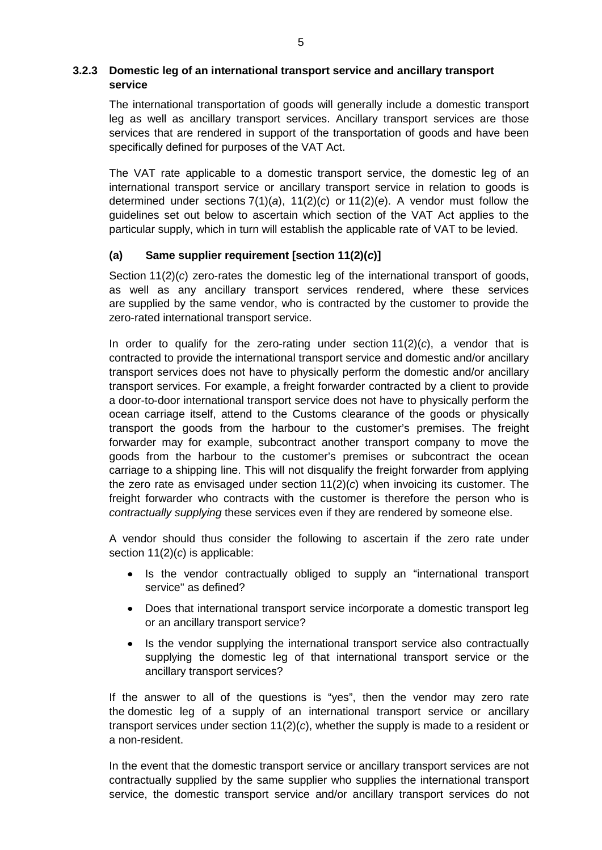# <span id="page-4-0"></span>**3.2.3 Domestic leg of an international transport service and ancillary transport service**

The international transportation of goods will generally include a domestic transport leg as well as ancillary transport services. Ancillary transport services are those services that are rendered in support of the transportation of goods and have been specifically defined for purposes of the VAT Act.

The VAT rate applicable to a domestic transport service, the domestic leg of an international transport service or ancillary transport service in relation to goods is determined under sections 7(1)(*a*), 11(2)(*c*) or 11(2)(*e*). A vendor must follow the guidelines set out below to ascertain which section of the VAT Act applies to the particular supply, which in turn will establish the applicable rate of VAT to be levied.

# **(a) Same supplier requirement [section 11(2)(***c***)]**

Section 11(2)(*c*) zero-rates the domestic leg of the international transport of goods, as well as any ancillary transport services rendered, where these services are supplied by the same vendor, who is contracted by the customer to provide the zero-rated international transport service.

In order to qualify for the zero-rating under section 11(2)(*c*), a vendor that is contracted to provide the international transport service and domestic and/or ancillary transport services does not have to physically perform the domestic and/or ancillary transport services. For example, a freight forwarder contracted by a client to provide a door-to-door international transport service does not have to physically perform the ocean carriage itself, attend to the Customs clearance of the goods or physically transport the goods from the harbour to the customer's premises. The freight forwarder may for example, subcontract another transport company to move the goods from the harbour to the customer's premises or subcontract the ocean carriage to a shipping line. This will not disqualify the freight forwarder from applying the zero rate as envisaged under section 11(2)(*c*) when invoicing its customer. The freight forwarder who contracts with the customer is therefore the person who is *contractually supplying* these services even if they are rendered by someone else.

A vendor should thus consider the following to ascertain if the zero rate under section 11(2)(*c*) is applicable:

- Is the vendor contractually obliged to supply an "international transport service" as defined?
- Does that international transport service incorporate a domestic transport leg or an ancillary transport service?
- Is the vendor supplying the international transport service also contractually supplying the domestic leg of that international transport service or the ancillary transport services?

If the answer to all of the questions is "yes", then the vendor may zero rate the domestic leg of a supply of an international transport service or ancillary transport services under section 11(2)(*c*), whether the supply is made to a resident or a non-resident.

In the event that the domestic transport service or ancillary transport services are not contractually supplied by the same supplier who supplies the international transport service, the domestic transport service and/or ancillary transport services do not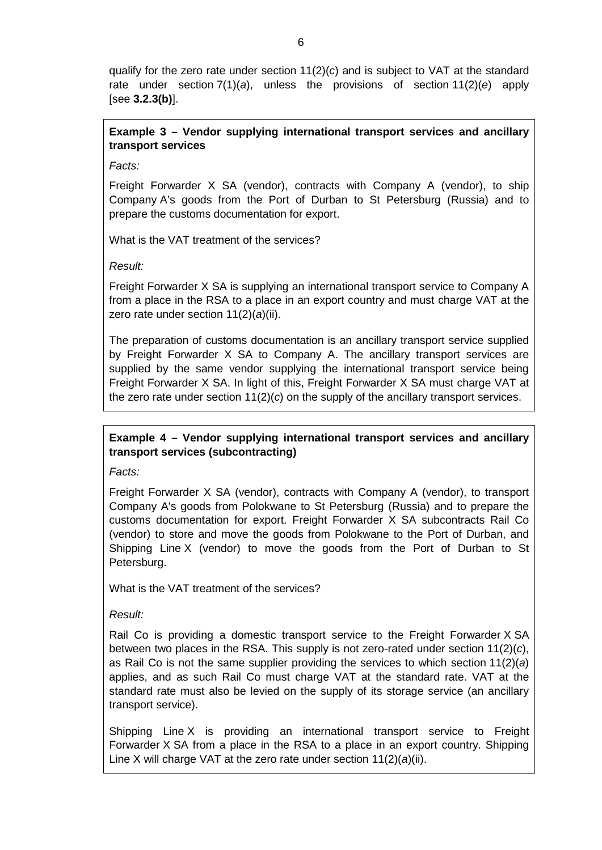qualify for the zero rate under section 11(2)(*c*) and is subject to VAT at the standard rate under section 7(1)(*a*), unless the provisions of section 11(2)(*e*) apply [see **[3.2.3\(b\)](#page-9-0)**].

# **Example 3 – Vendor supplying international transport services and ancillary transport services**

*Facts:*

Freight Forwarder X SA (vendor), contracts with Company A (vendor), to ship Company A's goods from the Port of Durban to St Petersburg (Russia) and to prepare the customs documentation for export.

What is the VAT treatment of the services?

*Result:*

Freight Forwarder X SA is supplying an international transport service to Company A from a place in the RSA to a place in an export country and must charge VAT at the zero rate under section 11(2)(*a*)(ii).

The preparation of customs documentation is an ancillary transport service supplied by Freight Forwarder X SA to Company A. The ancillary transport services are supplied by the same vendor supplying the international transport service being Freight Forwarder X SA. In light of this, Freight Forwarder X SA must charge VAT at the zero rate under section 11(2)(*c*) on the supply of the ancillary transport services.

# **Example 4 – Vendor supplying international transport services and ancillary transport services (subcontracting)**

*Facts:*

Freight Forwarder X SA (vendor), contracts with Company A (vendor), to transport Company A's goods from Polokwane to St Petersburg (Russia) and to prepare the customs documentation for export. Freight Forwarder X SA subcontracts Rail Co (vendor) to store and move the goods from Polokwane to the Port of Durban, and Shipping Line X (vendor) to move the goods from the Port of Durban to St Petersburg.

What is the VAT treatment of the services?

*Result:*

Rail Co is providing a domestic transport service to the Freight Forwarder X SA between two places in the RSA. This supply is not zero-rated under section 11(2)(*c*), as Rail Co is not the same supplier providing the services to which section 11(2)(*a*) applies, and as such Rail Co must charge VAT at the standard rate. VAT at the standard rate must also be levied on the supply of its storage service (an ancillary transport service).

Shipping Line X is providing an international transport service to Freight Forwarder X SA from a place in the RSA to a place in an export country. Shipping Line X will charge VAT at the zero rate under section 11(2)(*a*)(ii).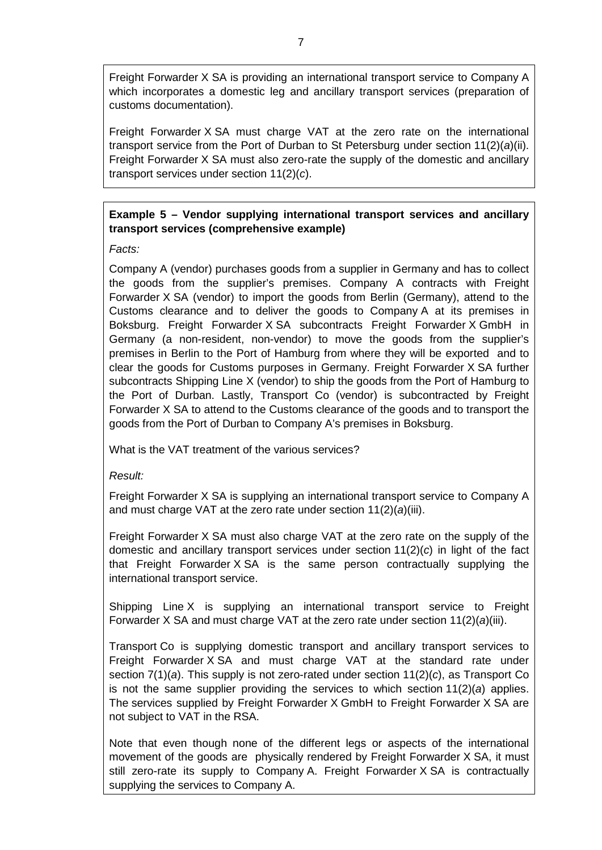Freight Forwarder X SA is providing an international transport service to Company A which incorporates a domestic leg and ancillary transport services (preparation of customs documentation).

Freight Forwarder X SA must charge VAT at the zero rate on the international transport service from the Port of Durban to St Petersburg under section 11(2)(*a*)(ii). Freight Forwarder X SA must also zero-rate the supply of the domestic and ancillary transport services under section 11(2)(*c*).

# **Example 5 – Vendor supplying international transport services and ancillary transport services (comprehensive example)**

*Facts:*

Company A (vendor) purchases goods from a supplier in Germany and has to collect the goods from the supplier's premises. Company A contracts with Freight Forwarder X SA (vendor) to import the goods from Berlin (Germany), attend to the Customs clearance and to deliver the goods to Company A at its premises in Boksburg. Freight Forwarder X SA subcontracts Freight Forwarder X GmbH in Germany (a non-resident, non-vendor) to move the goods from the supplier's premises in Berlin to the Port of Hamburg from where they will be exported and to clear the goods for Customs purposes in Germany. Freight Forwarder X SA further subcontracts Shipping Line X (vendor) to ship the goods from the Port of Hamburg to the Port of Durban. Lastly, Transport Co (vendor) is subcontracted by Freight Forwarder X SA to attend to the Customs clearance of the goods and to transport the goods from the Port of Durban to Company A's premises in Boksburg.

What is the VAT treatment of the various services?

*Result:*

Freight Forwarder X SA is supplying an international transport service to Company A and must charge VAT at the zero rate under section 11(2)(*a*)(iii).

Freight Forwarder X SA must also charge VAT at the zero rate on the supply of the domestic and ancillary transport services under section 11(2)(*c*) in light of the fact that Freight Forwarder X SA is the same person contractually supplying the international transport service.

Shipping Line X is supplying an international transport service to Freight Forwarder X SA and must charge VAT at the zero rate under section 11(2)(*a*)(iii).

Transport Co is supplying domestic transport and ancillary transport services to Freight Forwarder X SA and must charge VAT at the standard rate under section 7(1)(*a*). This supply is not zero-rated under section 11(2)(*c*), as Transport Co is not the same supplier providing the services to which section 11(2)(*a*) applies. The services supplied by Freight Forwarder X GmbH to Freight Forwarder X SA are not subject to VAT in the RSA.

Note that even though none of the different legs or aspects of the international movement of the goods are physically rendered by Freight Forwarder X SA, it must still zero-rate its supply to Company A. Freight Forwarder X SA is contractually supplying the services to Company A.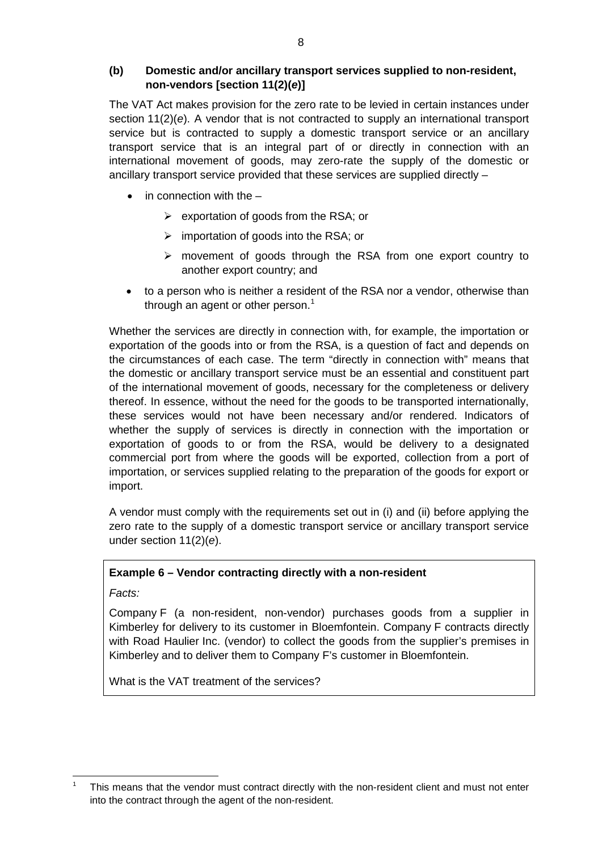# **(b) Domestic and/or ancillary transport services supplied to non-resident, non-vendors [section 11(2)(***e***)]**

The VAT Act makes provision for the zero rate to be levied in certain instances under section 11(2)(*e*). A vendor that is not contracted to supply an international transport service but is contracted to supply a domestic transport service or an ancillary transport service that is an integral part of or directly in connection with an international movement of goods, may zero-rate the supply of the domestic or ancillary transport service provided that these services are supplied directly –

- in connection with the  $-$ 
	- $\triangleright$  exportation of goods from the RSA; or
	- $\triangleright$  importation of goods into the RSA; or
	- movement of goods through the RSA from one export country to another export country; and
- to a person who is neither a resident of the RSA nor a vendor, otherwise than through an agent or other person.<sup>[1](#page-7-0)</sup>

Whether the services are directly in connection with, for example, the importation or exportation of the goods into or from the RSA, is a question of fact and depends on the circumstances of each case. The term "directly in connection with" means that the domestic or ancillary transport service must be an essential and constituent part of the international movement of goods, necessary for the completeness or delivery thereof. In essence, without the need for the goods to be transported internationally, these services would not have been necessary and/or rendered. Indicators of whether the supply of services is directly in connection with the importation or exportation of goods to or from the RSA, would be delivery to a designated commercial port from where the goods will be exported, collection from a port of importation, or services supplied relating to the preparation of the goods for export or import.

A vendor must comply with the requirements set out in (i) and (ii) before applying the zero rate to the supply of a domestic transport service or ancillary transport service under section 11(2)(*e*).

# **Example 6 – Vendor contracting directly with a non-resident**

*Facts:*

Company F (a non-resident, non-vendor) purchases goods from a supplier in Kimberley for delivery to its customer in Bloemfontein. Company F contracts directly with Road Haulier Inc. (vendor) to collect the goods from the supplier's premises in Kimberley and to deliver them to Company F's customer in Bloemfontein.

What is the VAT treatment of the services?

<span id="page-7-0"></span> <sup>1</sup> This means that the vendor must contract directly with the non-resident client and must not enter into the contract through the agent of the non-resident.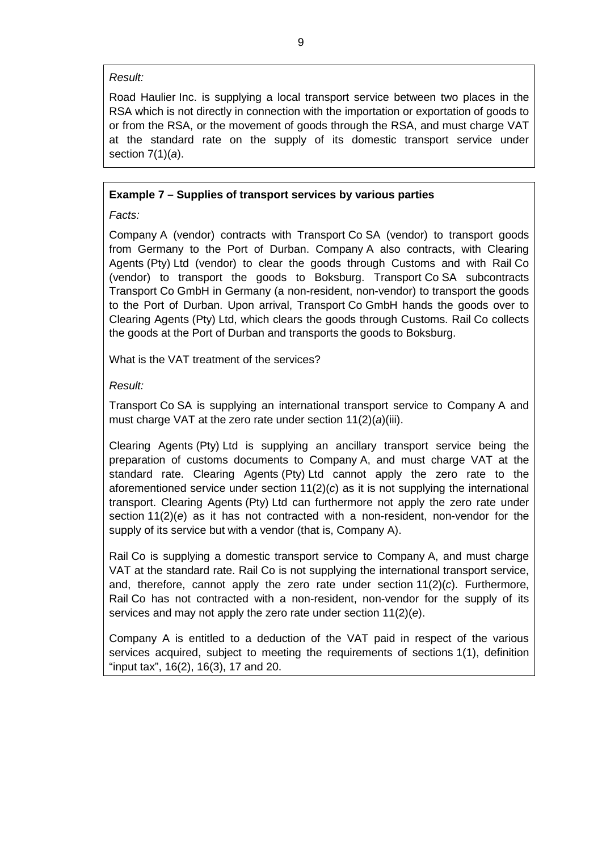#### *Result:*

Road Haulier Inc. is supplying a local transport service between two places in the RSA which is not directly in connection with the importation or exportation of goods to or from the RSA, or the movement of goods through the RSA, and must charge VAT at the standard rate on the supply of its domestic transport service under section 7(1)(*a*).

# **Example 7 – Supplies of transport services by various parties**

*Facts:*

Company A (vendor) contracts with Transport Co SA (vendor) to transport goods from Germany to the Port of Durban. Company A also contracts, with Clearing Agents (Pty) Ltd (vendor) to clear the goods through Customs and with Rail Co (vendor) to transport the goods to Boksburg. Transport Co SA subcontracts Transport Co GmbH in Germany (a non-resident, non-vendor) to transport the goods to the Port of Durban. Upon arrival, Transport Co GmbH hands the goods over to Clearing Agents (Pty) Ltd, which clears the goods through Customs. Rail Co collects the goods at the Port of Durban and transports the goods to Boksburg.

What is the VAT treatment of the services?

# *Result:*

Transport Co SA is supplying an international transport service to Company A and must charge VAT at the zero rate under section 11(2)(*a*)(iii).

Clearing Agents (Pty) Ltd is supplying an ancillary transport service being the preparation of customs documents to Company A, and must charge VAT at the standard rate. Clearing Agents (Pty) Ltd cannot apply the zero rate to the aforementioned service under section 11(2)(*c*) as it is not supplying the international transport. Clearing Agents (Pty) Ltd can furthermore not apply the zero rate under section 11(2)(*e*) as it has not contracted with a non-resident, non-vendor for the supply of its service but with a vendor (that is, Company A).

Rail Co is supplying a domestic transport service to Company A, and must charge VAT at the standard rate. Rail Co is not supplying the international transport service, and, therefore, cannot apply the zero rate under section 11(2)(*c*). Furthermore, Rail Co has not contracted with a non-resident, non-vendor for the supply of its services and may not apply the zero rate under section 11(2)(*e*).

Company A is entitled to a deduction of the VAT paid in respect of the various services acquired, subject to meeting the requirements of sections 1(1), definition "input tax", 16(2), 16(3), 17 and 20.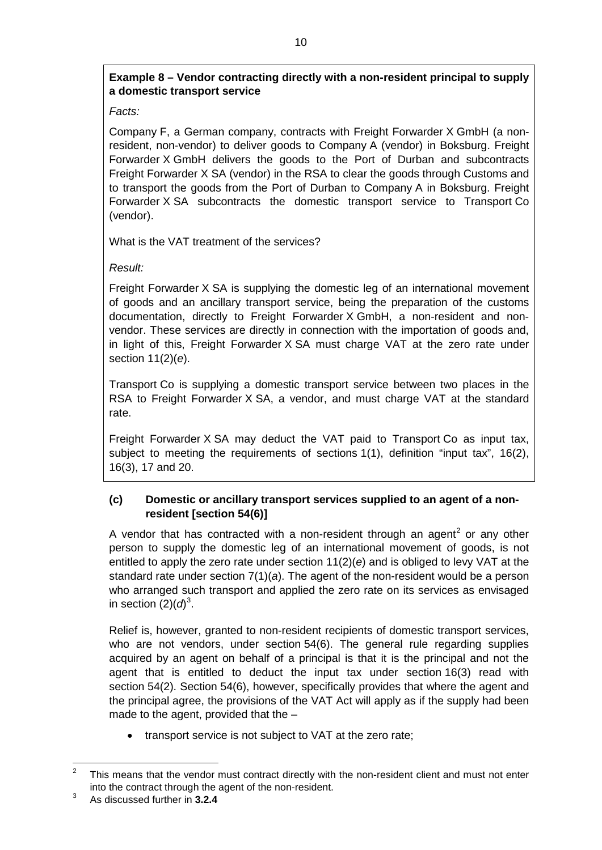# <span id="page-9-0"></span>**Example 8 – Vendor contracting directly with a non-resident principal to supply a domestic transport service**

*Facts:*

Company F, a German company, contracts with Freight Forwarder X GmbH (a nonresident, non-vendor) to deliver goods to Company A (vendor) in Boksburg. Freight Forwarder X GmbH delivers the goods to the Port of Durban and subcontracts Freight Forwarder X SA (vendor) in the RSA to clear the goods through Customs and to transport the goods from the Port of Durban to Company A in Boksburg. Freight Forwarder X SA subcontracts the domestic transport service to Transport Co (vendor).

What is the VAT treatment of the services?

*Result:*

Freight Forwarder X SA is supplying the domestic leg of an international movement of goods and an ancillary transport service, being the preparation of the customs documentation, directly to Freight Forwarder X GmbH, a non-resident and nonvendor. These services are directly in connection with the importation of goods and, in light of this, Freight Forwarder X SA must charge VAT at the zero rate under section 11(2)(*e*).

Transport Co is supplying a domestic transport service between two places in the RSA to Freight Forwarder X SA, a vendor, and must charge VAT at the standard rate.

Freight Forwarder X SA may deduct the VAT paid to Transport Co as input tax, subject to meeting the requirements of sections 1(1), definition "input tax", 16(2), 16(3), 17 and 20.

# <span id="page-9-3"></span>**(c) Domestic or ancillary transport services supplied to an agent of a nonresident [section 54(6)]**

A vendor that has contracted with a non-resident through an agent<sup>[2](#page-9-1)</sup> or any other person to supply the domestic leg of an international movement of goods, is not entitled to apply the zero rate under section 11(2)(*e*) and is obliged to levy VAT at the standard rate under section 7(1)(*a*). The agent of the non-resident would be a person who arranged such transport and applied the zero rate on its services as envisaged in section  $(2)(d)^3$  $(2)(d)^3$ .

Relief is, however, granted to non-resident recipients of domestic transport services, who are not vendors, under section 54(6). The general rule regarding supplies acquired by an agent on behalf of a principal is that it is the principal and not the agent that is entitled to deduct the input tax under section 16(3) read with section 54(2). Section 54(6), however, specifically provides that where the agent and the principal agree, the provisions of the VAT Act will apply as if the supply had been made to the agent, provided that the –

• transport service is not subject to VAT at the zero rate;

<span id="page-9-1"></span> $2^2$  This means that the vendor must contract directly with the non-resident client and must not enter into the contract through the agent of the non-resident.

<span id="page-9-2"></span><sup>3</sup> As discussed further in **3.2.4**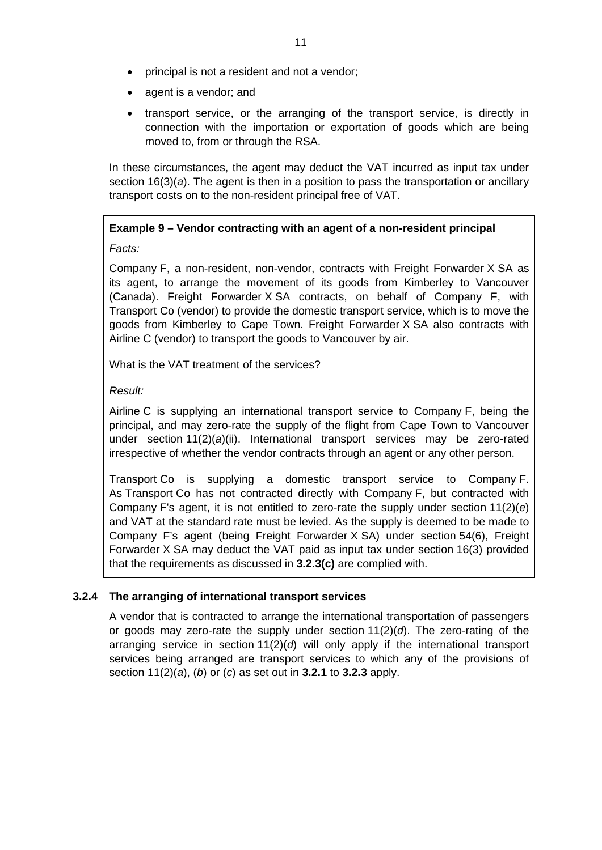- principal is not a resident and not a vendor;
- agent is a vendor; and
- transport service, or the arranging of the transport service, is directly in connection with the importation or exportation of goods which are being moved to, from or through the RSA.

In these circumstances, the agent may deduct the VAT incurred as input tax under section 16(3)(*a*). The agent is then in a position to pass the transportation or ancillary transport costs on to the non-resident principal free of VAT.

# **Example 9 – Vendor contracting with an agent of a non-resident principal**

*Facts:*

Company F, a non-resident, non-vendor, contracts with Freight Forwarder X SA as its agent, to arrange the movement of its goods from Kimberley to Vancouver (Canada). Freight Forwarder X SA contracts, on behalf of Company F, with Transport Co (vendor) to provide the domestic transport service, which is to move the goods from Kimberley to Cape Town. Freight Forwarder X SA also contracts with Airline C (vendor) to transport the goods to Vancouver by air.

What is the VAT treatment of the services?

# *Result:*

Airline C is supplying an international transport service to Company F, being the principal, and may zero-rate the supply of the flight from Cape Town to Vancouver under section 11(2)(*a*)(ii). International transport services may be zero-rated irrespective of whether the vendor contracts through an agent or any other person.

Transport Co is supplying a domestic transport service to Company F. As Transport Co has not contracted directly with Company F, but contracted with Company F's agent, it is not entitled to zero-rate the supply under section 11(2)(*e*) and VAT at the standard rate must be levied. As the supply is deemed to be made to Company F's agent (being Freight Forwarder X SA) under section 54(6), Freight Forwarder X SA may deduct the VAT paid as input tax under section 16(3) provided that the requirements as discussed in **[3.2.3\(c\)](#page-9-3)** are complied with.

# **3.2.4 The arranging of international transport services**

A vendor that is contracted to arrange the international transportation of passengers or goods may zero-rate the supply under section 11(2)(*d*). The zero-rating of the arranging service in section 11(2)(*d*) will only apply if the international transport services being arranged are transport services to which any of the provisions of section 11(2)(*a*), (*b*) or (*c*) as set out in **[3.2.1](#page-2-0)** to **[3.2.3](#page-4-0)** apply.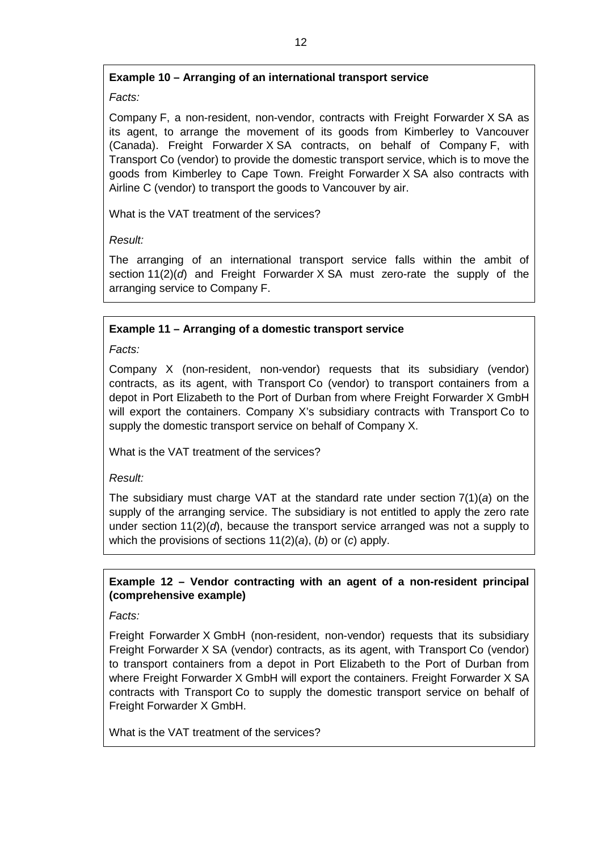# **Example 10 – Arranging of an international transport service**

# *Facts:*

Company F, a non-resident, non-vendor, contracts with Freight Forwarder X SA as its agent, to arrange the movement of its goods from Kimberley to Vancouver (Canada). Freight Forwarder X SA contracts, on behalf of Company F, with Transport Co (vendor) to provide the domestic transport service, which is to move the goods from Kimberley to Cape Town. Freight Forwarder X SA also contracts with Airline C (vendor) to transport the goods to Vancouver by air.

What is the VAT treatment of the services?

*Result:*

The arranging of an international transport service falls within the ambit of section 11(2)(*d*) and Freight Forwarder X SA must zero-rate the supply of the arranging service to Company F.

# **Example 11 – Arranging of a domestic transport service**

*Facts:*

Company X (non-resident, non-vendor) requests that its subsidiary (vendor) contracts, as its agent, with Transport Co (vendor) to transport containers from a depot in Port Elizabeth to the Port of Durban from where Freight Forwarder X GmbH will export the containers. Company X's subsidiary contracts with Transport Co to supply the domestic transport service on behalf of Company X.

What is the VAT treatment of the services?

*Result:*

The subsidiary must charge VAT at the standard rate under section 7(1)(*a*) on the supply of the arranging service. The subsidiary is not entitled to apply the zero rate under section 11(2)(*d*), because the transport service arranged was not a supply to which the provisions of sections 11(2)(*a*), (*b*) or (*c*) apply.

# **Example 12 – Vendor contracting with an agent of a non-resident principal (comprehensive example)**

*Facts:*

Freight Forwarder X GmbH (non-resident, non-vendor) requests that its subsidiary Freight Forwarder X SA (vendor) contracts, as its agent, with Transport Co (vendor) to transport containers from a depot in Port Elizabeth to the Port of Durban from where Freight Forwarder X GmbH will export the containers. Freight Forwarder X SA contracts with Transport Co to supply the domestic transport service on behalf of Freight Forwarder X GmbH.

What is the VAT treatment of the services?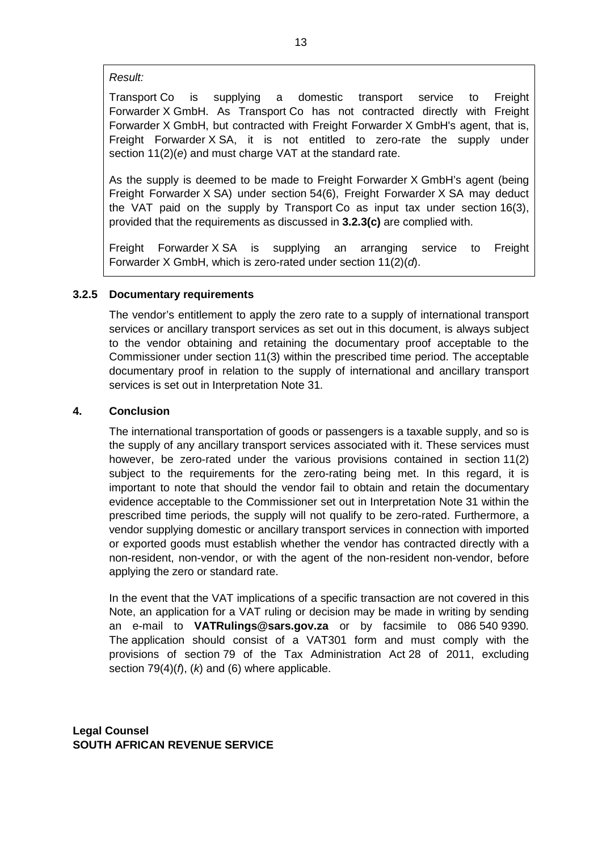#### *Result:*

Transport Co is supplying a domestic transport service to Freight Forwarder X GmbH. As Transport Co has not contracted directly with Freight Forwarder X GmbH, but contracted with Freight Forwarder X GmbH's agent, that is, Freight Forwarder X SA, it is not entitled to zero-rate the supply under section 11(2)(*e*) and must charge VAT at the standard rate.

As the supply is deemed to be made to Freight Forwarder X GmbH's agent (being Freight Forwarder X SA) under section 54(6), Freight Forwarder X SA may deduct the VAT paid on the supply by Transport Co as input tax under section 16(3), provided that the requirements as discussed in **[3.2.3\(c\)](#page-9-3)** are complied with.

Freight Forwarder X SA is supplying an arranging service to Freight Forwarder X GmbH, which is zero-rated under section 11(2)(*d*).

# **3.2.5 Documentary requirements**

The vendor's entitlement to apply the zero rate to a supply of international transport services or ancillary transport services as set out in this document, is always subject to the vendor obtaining and retaining the documentary proof acceptable to the Commissioner under section 11(3) within the prescribed time period. The acceptable documentary proof in relation to the supply of international and ancillary transport services is set out in Interpretation Note 31.

# **4. Conclusion**

The international transportation of goods or passengers is a taxable supply, and so is the supply of any ancillary transport services associated with it. These services must however, be zero-rated under the various provisions contained in section 11(2) subject to the requirements for the zero-rating being met. In this regard, it is important to note that should the vendor fail to obtain and retain the documentary evidence acceptable to the Commissioner set out in Interpretation Note 31 within the prescribed time periods, the supply will not qualify to be zero-rated. Furthermore, a vendor supplying domestic or ancillary transport services in connection with imported or exported goods must establish whether the vendor has contracted directly with a non-resident, non-vendor, or with the agent of the non-resident non-vendor, before applying the zero or standard rate.

In the event that the VAT implications of a specific transaction are not covered in this Note, an application for a VAT ruling or decision may be made in writing by sending an e-mail to **VATRul[ings@sars.gov.za](mailto:ngs@sars.gov.za)** or by facsimile to 086 540 9390. The application should consist of a VAT301 form and must comply with the provisions of section 79 of the Tax Administration Act 28 of 2011, excluding section 79(4)(*f*), (*k*) and (6) where applicable.

**Legal Counsel SOUTH AFRICAN REVENUE SERVICE**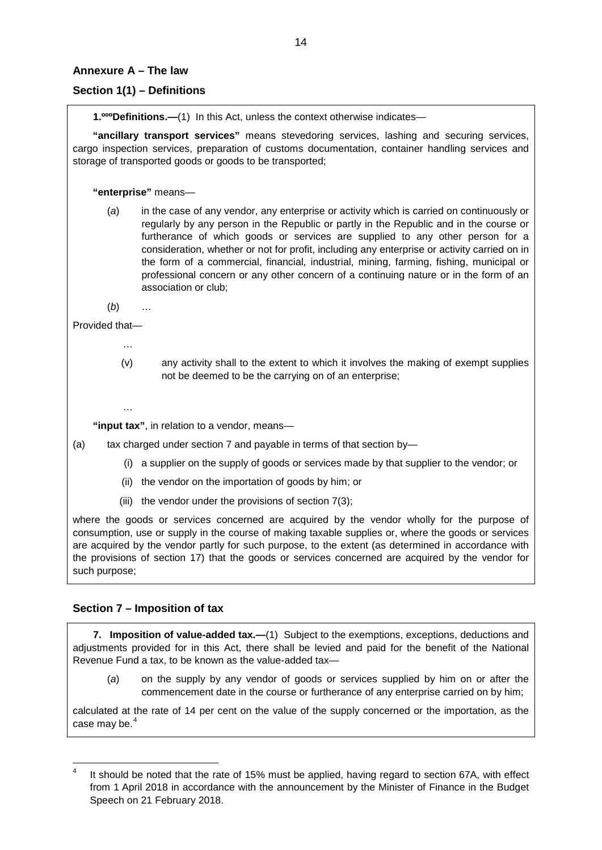#### **Annexure A – The law**

# **Section 1(1) – Definitions**

**1.ºººDefinitions.—**(1) In this Act, unless the context otherwise indicates—

**"ancillary transport services"** means stevedoring services, lashing and securing services, cargo inspection services, preparation of customs documentation, container handling services and storage of transported goods or goods to be transported;

**"enterprise"** means—

(*a*) in the case of any vendor, any enterprise or activity which is carried on continuously or regularly by any person in the Republic or partly in the Republic and in the course or furtherance of which goods or services are supplied to any other person for a consideration, whether or not for profit, including any enterprise or activity carried on in the form of a commercial, financial, industrial, mining, farming, fishing, municipal or professional concern or any other concern of a continuing nature or in the form of an association or club;

(*b*) …

Provided that—

- …
	- (v) any activity shall to the extent to which it involves the making of exempt supplies not be deemed to be the carrying on of an enterprise;
- …

**"input tax"**, in relation to a vendor, means—

- (a) tax charged under section 7 and payable in terms of that section by-
	- (i) a supplier on the supply of goods or services made by that supplier to the vendor; or
	- (ii) the vendor on the importation of goods by him; or
	- (iii) the vendor under the provisions of section 7(3);

where the goods or services concerned are acquired by the vendor wholly for the purpose of consumption, use or supply in the course of making taxable supplies or, where the goods or services are acquired by the vendor partly for such purpose, to the extent (as determined in accordance with the provisions of section 17) that the goods or services concerned are acquired by the vendor for such purpose;

# **Section 7 – Imposition of tax**

**7. Imposition of value-added tax.—**(1) Subject to the exemptions, exceptions, deductions and adjustments provided for in this Act, there shall be levied and paid for the benefit of the National Revenue Fund a tax, to be known as the value-added tax—

(*a*) on the supply by any vendor of goods or services supplied by him on or after the commencement date in the course or furtherance of any enterprise carried on by him;

calculated at the rate of 14 per cent on the value of the supply concerned or the importation, as the case may be.<sup>[4](#page-13-0)</sup>

<span id="page-13-0"></span> $4$  It should be noted that the rate of 15% must be applied, having regard to section 67A, with effect from 1 April 2018 in accordance with the announcement by the Minister of Finance in the Budget Speech on 21 February 2018.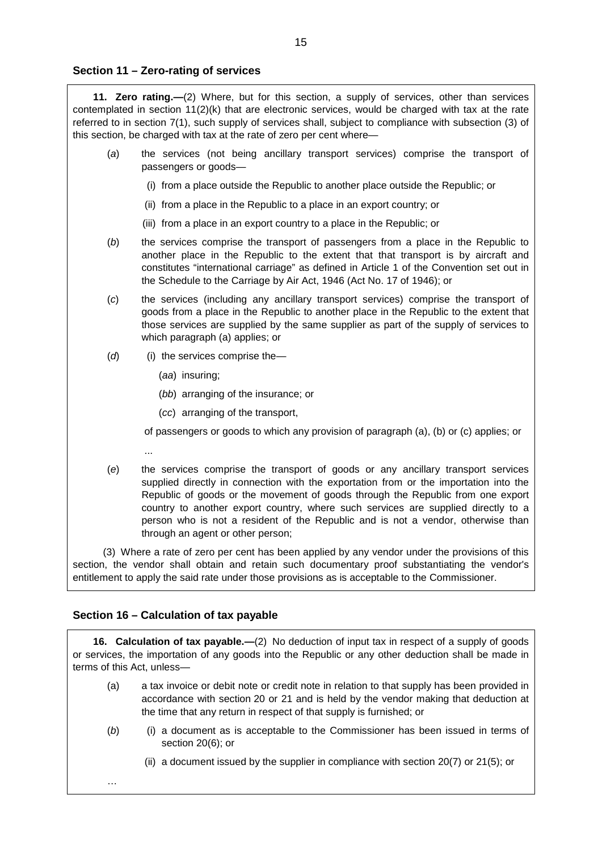#### **Section 11 – Zero-rating of services**

**11. Zero rating.—**(2) Where, but for this section, a supply of services, other than services contemplated in section 11(2)(k) that are electronic services, would be charged with tax at the rate referred to in section 7(1), such supply of services shall, subject to compliance with subsection (3) of this section, be charged with tax at the rate of zero per cent where—

- (*a*) the services (not being ancillary transport services) comprise the transport of passengers or goods—
	- (i) from a place outside the Republic to another place outside the Republic; or
	- (ii) from a place in the Republic to a place in an export country; or
	- (iii) from a place in an export country to a place in the Republic; or
- (*b*) the services comprise the transport of passengers from a place in the Republic to another place in the Republic to the extent that that transport is by aircraft and constitutes "international carriage" as defined in Article 1 of the Convention set out in the Schedule to the Carriage by Air Act, 1946 (Act No. 17 of 1946); or
- (*c*) the services (including any ancillary transport services) comprise the transport of goods from a place in the Republic to another place in the Republic to the extent that those services are supplied by the same supplier as part of the supply of services to which paragraph (a) applies; or
- (d) (i) the services comprise the—
	- (*aa*) insuring;
	- (*bb*) arranging of the insurance; or
	- (*cc*) arranging of the transport,

of passengers or goods to which any provision of paragraph (a), (b) or (c) applies; or

- ...
- (*e*) the services comprise the transport of goods or any ancillary transport services supplied directly in connection with the exportation from or the importation into the Republic of goods or the movement of goods through the Republic from one export country to another export country, where such services are supplied directly to a person who is not a resident of the Republic and is not a vendor, otherwise than through an agent or other person;

(3) Where a rate of zero per cent has been applied by any vendor under the provisions of this section, the vendor shall obtain and retain such documentary proof substantiating the vendor's entitlement to apply the said rate under those provisions as is acceptable to the Commissioner.

#### **Section 16 – Calculation of tax payable**

…

**16. Calculation of tax payable.—**(2) No deduction of input tax in respect of a supply of goods or services, the importation of any goods into the Republic or any other deduction shall be made in terms of this Act, unless—

- (a) a tax invoice or debit note or credit note in relation to that supply has been provided in accordance with section 20 or 21 and is held by the vendor making that deduction at the time that any return in respect of that supply is furnished; or
- (*b*) (i) a document as is acceptable to the Commissioner has been issued in terms of section 20(6); or
	- (ii) a document issued by the supplier in compliance with section 20(7) or 21(5); or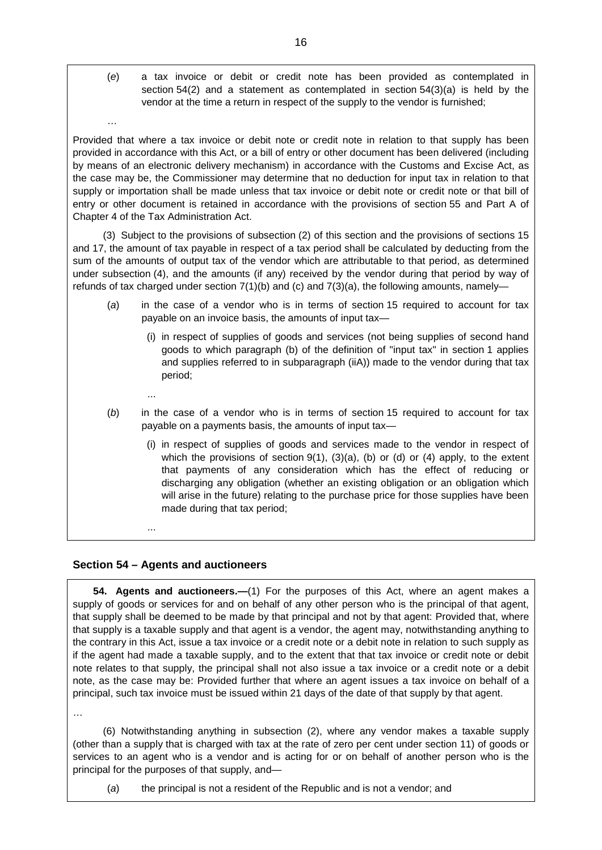(*e*) a tax invoice or debit or credit note has been provided as contemplated in section 54(2) and a statement as contemplated in section 54(3)(a) is held by the vendor at the time a return in respect of the supply to the vendor is furnished;

Provided that where a tax invoice or debit note or credit note in relation to that supply has been provided in accordance with this Act, or a bill of entry or other document has been delivered (including by means of an electronic delivery mechanism) in accordance with the Customs and Excise Act, as the case may be, the Commissioner may determine that no deduction for input tax in relation to that supply or importation shall be made unless that tax invoice or debit note or credit note or that bill of entry or other document is retained in accordance with the provisions of section 55 and Part A of Chapter 4 of the Tax Administration Act.

(3) Subject to the provisions of subsection (2) of this section and the provisions of sections 15 and 17, the amount of tax payable in respect of a tax period shall be calculated by deducting from the sum of the amounts of output tax of the vendor which are attributable to that period, as determined under subsection (4), and the amounts (if any) received by the vendor during that period by way of refunds of tax charged under section  $7(1)(b)$  and  $(c)$  and  $7(3)(a)$ , the following amounts, namely-

- (*a*) in the case of a vendor who is in terms of section 15 required to account for tax payable on an invoice basis, the amounts of input tax—
	- (i) in respect of supplies of goods and services (not being supplies of second hand goods to which paragraph (b) of the definition of "input tax" in section 1 applies and supplies referred to in subparagraph (iiA)) made to the vendor during that tax period;
	- ...

…

- (*b*) in the case of a vendor who is in terms of section 15 required to account for tax payable on a payments basis, the amounts of input tax—
	- (i) in respect of supplies of goods and services made to the vendor in respect of which the provisions of section  $9(1)$ ,  $(3)(a)$ ,  $(b)$  or  $(d)$  or  $(4)$  apply, to the extent that payments of any consideration which has the effect of reducing or discharging any obligation (whether an existing obligation or an obligation which will arise in the future) relating to the purchase price for those supplies have been made during that tax period;

...

# **Section 54 – Agents and auctioneers**

**54. Agents and auctioneers.—**(1) For the purposes of this Act, where an agent makes a supply of goods or services for and on behalf of any other person who is the principal of that agent, that supply shall be deemed to be made by that principal and not by that agent: Provided that, where that supply is a taxable supply and that agent is a vendor, the agent may, notwithstanding anything to the contrary in this Act, issue a tax invoice or a credit note or a debit note in relation to such supply as if the agent had made a taxable supply, and to the extent that that tax invoice or credit note or debit note relates to that supply, the principal shall not also issue a tax invoice or a credit note or a debit note, as the case may be: Provided further that where an agent issues a tax invoice on behalf of a principal, such tax invoice must be issued within 21 days of the date of that supply by that agent.

…

(6) Notwithstanding anything in subsection (2), where any vendor makes a taxable supply (other than a supply that is charged with tax at the rate of zero per cent under section 11) of goods or services to an agent who is a vendor and is acting for or on behalf of another person who is the principal for the purposes of that supply, and—

(*a*) the principal is not a resident of the Republic and is not a vendor; and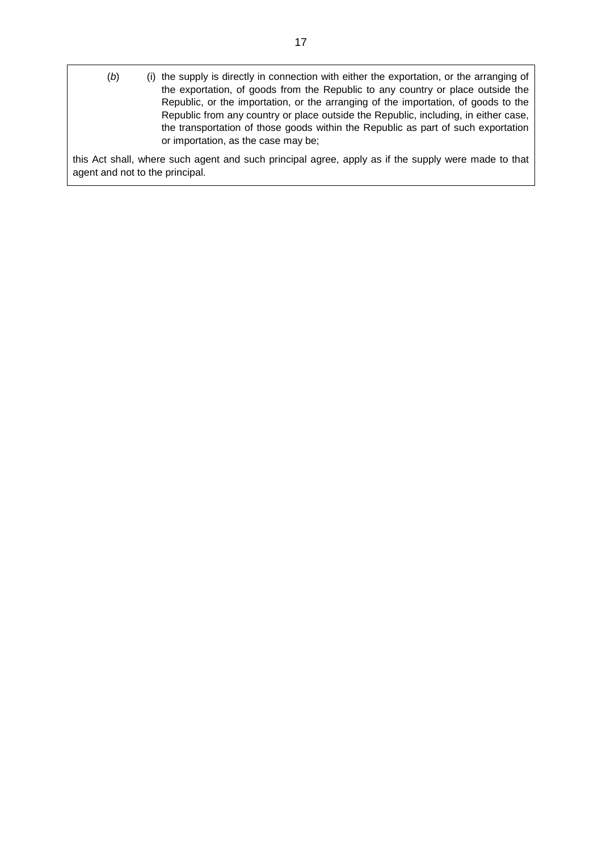(b) (i) the supply is directly in connection with either the exportation, or the arranging of the exportation, of goods from the Republic to any country or place outside the Republic, or the importation, or the arranging of the importation, of goods to the Republic from any country or place outside the Republic, including, in either case, the transportation of those goods within the Republic as part of such exportation or importation, as the case may be;

this Act shall, where such agent and such principal agree, apply as if the supply were made to that agent and not to the principal.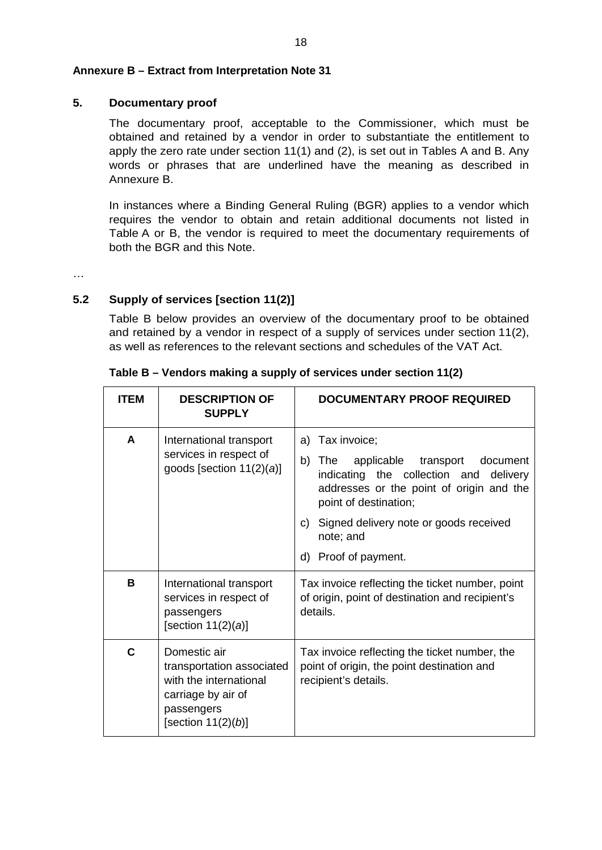#### **Annexure B – Extract from Interpretation Note 31**

#### **5. Documentary proof**

The documentary proof, acceptable to the Commissioner, which must be obtained and retained by a vendor in order to substantiate the entitlement to apply the zero rate under section 11(1) and (2), is set out in Tables A and B. Any words or phrases that are underlined have the meaning as described in Annexure B.

In instances where a Binding General Ruling (BGR) applies to a vendor which requires the vendor to obtain and retain additional documents not listed in Table A or B, the vendor is required to meet the documentary requirements of both the BGR and this Note.

…

# **5.2 Supply of services [section 11(2)]**

Table B below provides an overview of the documentary proof to be obtained and retained by a vendor in respect of a supply of services under section 11(2), as well as references to the relevant sections and schedules of the VAT Act.

| <b>ITEM</b> | <b>DESCRIPTION OF</b><br><b>SUPPLY</b>                                                                                           | DOCUMENTARY PROOF REQUIRED                                                                                                                                                                                                                                              |
|-------------|----------------------------------------------------------------------------------------------------------------------------------|-------------------------------------------------------------------------------------------------------------------------------------------------------------------------------------------------------------------------------------------------------------------------|
| A           | International transport<br>services in respect of<br>goods [section $11(2)(a)$ ]                                                 | Tax invoice;<br>a)<br>b)<br>applicable transport document<br>The<br>indicating the collection and<br>delivery<br>addresses or the point of origin and the<br>point of destination;<br>Signed delivery note or goods received<br>C)<br>note; and<br>d) Proof of payment. |
| B           | International transport<br>services in respect of<br>passengers<br>[section $11(2)(a)$ ]                                         | Tax invoice reflecting the ticket number, point<br>of origin, point of destination and recipient's<br>details.                                                                                                                                                          |
| C           | Domestic air<br>transportation associated<br>with the international<br>carriage by air of<br>passengers<br>[section $11(2)(b)$ ] | Tax invoice reflecting the ticket number, the<br>point of origin, the point destination and<br>recipient's details.                                                                                                                                                     |

**Table B – Vendors making a supply of services under section 11(2)**